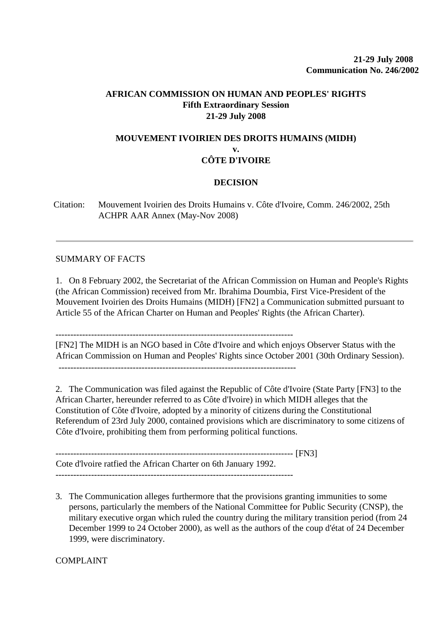**21-29 July 2008 Communication No. 246/2002**

i,

# **AFRICAN COMMISSION ON HUMAN AND PEOPLES' RIGHTS Fifth Extraordinary Session 21-29 July 2008**

# **MOUVEMENT IVOIRIEN DES DROITS HUMAINS (MIDH) v. CÔTE D'IVOIRE**

# **DECISION**

Citation: Mouvement Ivoirien des Droits Humains v. Côte d'Ivoire, Comm. 246/2002, 25th ACHPR AAR Annex (May-Nov 2008)

#### SUMMARY OF FACTS

1. On 8 February 2002, the Secretariat of the African Commission on Human and People's Rights (the African Commission) received from Mr. Ibrahima Doumbia, First Vice-President of the Mouvement Ivoirien des Droits Humains (MIDH) [FN2] a Communication submitted pursuant to Article 55 of the African Charter on Human and Peoples' Rights (the African Charter).

--------------------------------------------------------------------------------

[FN2] The MIDH is an NGO based in Côte d'Ivoire and which enjoys Observer Status with the African Commission on Human and Peoples' Rights since October 2001 (30th Ordinary Session). --------------------------------------------------------------------------------

2. The Communication was filed against the Republic of Côte d'Ivoire (State Party [FN3] to the African Charter, hereunder referred to as Côte d'Ivoire) in which MIDH alleges that the

Constitution of Côte d'Ivoire, adopted by a minority of citizens during the Constitutional Referendum of 23rd July 2000, contained provisions which are discriminatory to some citizens of Côte d'Ivoire, prohibiting them from performing political functions.

-------------------------------------------------------------------------------- [FN3] Cote d'lvoire ratfied the African Charter on 6th January 1992.

--------------------------------------------------------------------------------

3. The Communication alleges furthermore that the provisions granting immunities to some persons, particularly the members of the National Committee for Public Security (CNSP), the military executive organ which ruled the country during the military transition period (from 24 December 1999 to 24 October 2000), as well as the authors of the coup d'état of 24 December 1999, were discriminatory.

COMPLAINT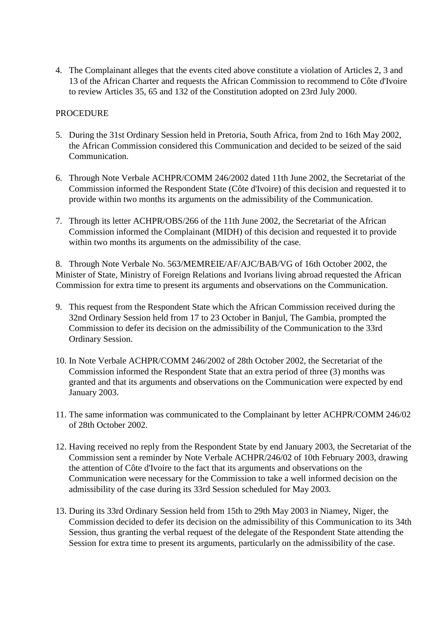4. The Complainant alleges that the events cited above constitute a violation of Articles 2, 3 and 13 of the African Charter and requests the African Commission to recommend to Côte d'Ivoire to review Articles 35, 65 and 132 of the Constitution adopted on 23rd July 2000.

#### PROCEDURE

- 5. During the 31st Ordinary Session held in Pretoria, South Africa, from 2nd to 16th May 2002, the African Commission considered this Communication and decided to be seized of the said Communication.
- 6. Through Note Verbale ACHPR/COMM 246/2002 dated 11th June 2002, the Secretariat of the Commission informed the Respondent State (Côte d'Ivoire) of this decision and requested it to provide within two months its arguments on the admissibility of the Communication.
- 7. Through its letter ACHPR/OBS/266 of the 11th June 2002, the Secretariat of the African Commission informed the Complainant (MIDH) of this decision and requested it to provide within two months its arguments on the admissibility of the case.

8. Through Note Verbale No. 563/MEMREIE/AF/AJC/BAB/VG of 16th October 2002, the Minister of State, Ministry of Foreign Relations and Ivorians living abroad requested the African Commission for extra time to present its arguments and observations on the Communication.

- 9. This request from the Respondent State which the African Commission received during the 32nd Ordinary Session held from 17 to 23 October in Banjul, The Gambia, prompted the Commission to defer its decision on the admissibility of the Communication to the 33rd Ordinary Session.
- 10. In Note Verbale ACHPR/COMM 246/2002 of 28th October 2002, the Secretariat of the Commission informed the Respondent State that an extra period of three (3) months was granted and that its arguments and observations on the Communication were expected by end January 2003.
- 11. The same information was communicated to the Complainant by letter ACHPR/COMM 246/02 of 28th October 2002.
- 12. Having received no reply from the Respondent State by end January 2003, the Secretariat of the Commission sent a reminder by Note Verbale ACHPR/246/02 of 10th February 2003, drawing the attention of Côte d'Ivoire to the fact that its arguments and observations on the Communication were necessary for the Commission to take a well informed decision on the admissibility of the case during its 33rd Session scheduled for May 2003.
- 13. During its 33rd Ordinary Session held from 15th to 29th May 2003 in Niamey, Niger, the Commission decided to defer its decision on the admissibility of this Communication to its 34th Session, thus granting the verbal request of the delegate of the Respondent State attending the Session for extra time to present its arguments, particularly on the admissibility of the case.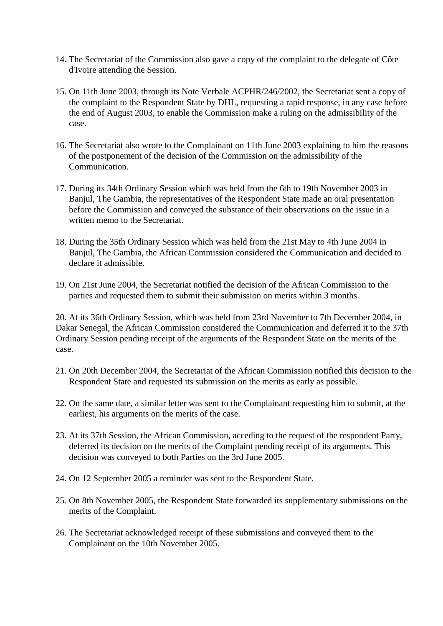- 14. The Secretariat of the Commission also gave a copy of the complaint to the delegate of Côte d'Ivoire attending the Session.
- 15. On 11th June 2003, through its Note Verbale ACPHR/246/2002, the Secretariat sent a copy of the complaint to the Respondent State by DHL, requesting a rapid response, in any case before the end of August 2003, to enable the Commission make a ruling on the admissibility of the case.
- 16. The Secretariat also wrote to the Complainant on 11th June 2003 explaining to him the reasons of the postponement of the decision of the Commission on the admissibility of the Communication.
- 17. During its 34th Ordinary Session which was held from the 6th to 19th November 2003 in Banjul, The Gambia, the representatives of the Respondent State made an oral presentation before the Commission and conveyed the substance of their observations on the issue in a written memo to the Secretariat.
- 18. During the 35th Ordinary Session which was held from the 21st May to 4th June 2004 in Banjul, The Gambia, the African Commission considered the Communication and decided to declare it admissible.
- 19. On 21st June 2004, the Secretariat notified the decision of the African Commission to the parties and requested them to submit their submission on merits within 3 months.

20. At its 36th Ordinary Session, which was held from 23rd November to 7th December 2004, in Dakar Senegal, the African Commission considered the Communication and deferred it to the 37th Ordinary Session pending receipt of the arguments of the Respondent State on the merits of the case.

- 21. On 20th December 2004, the Secretariat of the African Commission notified this decision to the Respondent State and requested its submission on the merits as early as possible.
- 22. On the same date, a similar letter was sent to the Complainant requesting him to submit, at the earliest, his arguments on the merits of the case.
- 23. At its 37th Session, the African Commission, acceding to the request of the respondent Party, deferred its decision on the merits of the Complaint pending receipt of its arguments. This decision was conveyed to both Parties on the 3rd June 2005.
- 24. On 12 September 2005 a reminder was sent to the Respondent State.
- 25. On 8th November 2005, the Respondent State forwarded its supplementary submissions on the merits of the Complaint.
- 26. The Secretariat acknowledged receipt of these submissions and conveyed them to the Complainant on the 10th November 2005.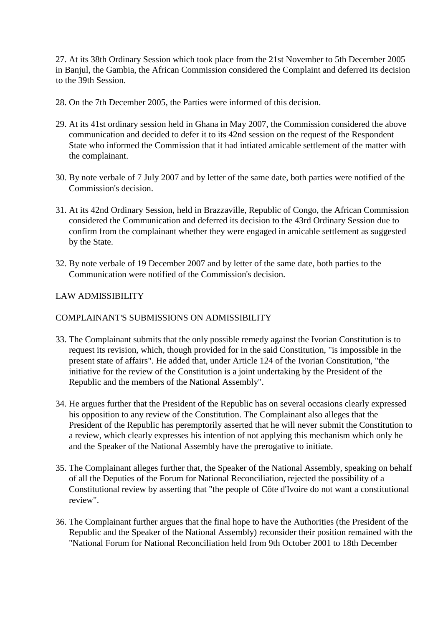27. At its 38th Ordinary Session which took place from the 21st November to 5th December 2005 in Banjul, the Gambia, the African Commission considered the Complaint and deferred its decision to the 39th Session.

- 28. On the 7th December 2005, the Parties were informed of this decision.
- 29. At its 41st ordinary session held in Ghana in May 2007, the Commission considered the above communication and decided to defer it to its 42nd session on the request of the Respondent State who informed the Commission that it had intiated amicable settlement of the matter with the complainant.
- 30. By note verbale of 7 July 2007 and by letter of the same date, both parties were notified of the Commission's decision.
- 31. At its 42nd Ordinary Session, held in Brazzaville, Republic of Congo, the African Commission considered the Communication and deferred its decision to the 43rd Ordinary Session due to confirm from the complainant whether they were engaged in amicable settlement as suggested by the State.
- 32. By note verbale of 19 December 2007 and by letter of the same date, both parties to the Communication were notified of the Commission's decision.

# LAW ADMISSIBILITY

#### COMPLAINANT'S SUBMISSIONS ON ADMISSIBILITY

- 33. The Complainant submits that the only possible remedy against the Ivorian Constitution is to request its revision, which, though provided for in the said Constitution, "is impossible in the present state of affairs". He added that, under Article 124 of the Ivorian Constitution, "the initiative for the review of the Constitution is a joint undertaking by the President of the Republic and the members of the National Assembly".
- 34. He argues further that the President of the Republic has on several occasions clearly expressed his opposition to any review of the Constitution. The Complainant also alleges that the President of the Republic has peremptorily asserted that he will never submit the Constitution to a review, which clearly expresses his intention of not applying this mechanism which only he and the Speaker of the National Assembly have the prerogative to initiate.
- 35. The Complainant alleges further that, the Speaker of the National Assembly, speaking on behalf of all the Deputies of the Forum for National Reconciliation, rejected the possibility of a Constitutional review by asserting that "the people of Côte d'Ivoire do not want a constitutional review".
- 36. The Complainant further argues that the final hope to have the Authorities (the President of the Republic and the Speaker of the National Assembly) reconsider their position remained with the "National Forum for National Reconciliation held from 9th October 2001 to 18th December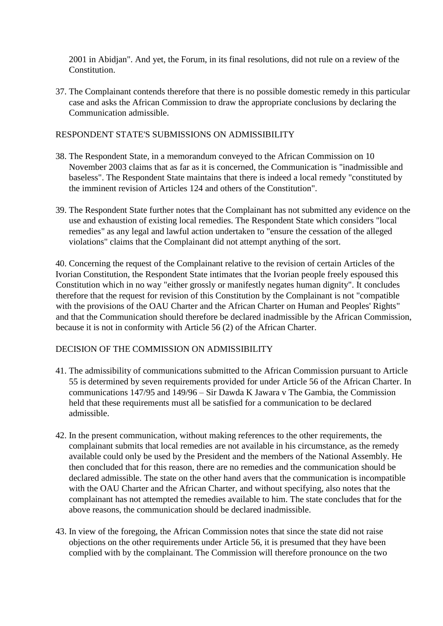2001 in Abidjan". And yet, the Forum, in its final resolutions, did not rule on a review of the Constitution.

37. The Complainant contends therefore that there is no possible domestic remedy in this particular case and asks the African Commission to draw the appropriate conclusions by declaring the Communication admissible.

#### RESPONDENT STATE'S SUBMISSIONS ON ADMISSIBILITY

- 38. The Respondent State, in a memorandum conveyed to the African Commission on 10 November 2003 claims that as far as it is concerned, the Communication is "inadmissible and baseless". The Respondent State maintains that there is indeed a local remedy "constituted by the imminent revision of Articles 124 and others of the Constitution".
- 39. The Respondent State further notes that the Complainant has not submitted any evidence on the use and exhaustion of existing local remedies. The Respondent State which considers "local remedies" as any legal and lawful action undertaken to "ensure the cessation of the alleged violations" claims that the Complainant did not attempt anything of the sort.

40. Concerning the request of the Complainant relative to the revision of certain Articles of the Ivorian Constitution, the Respondent State intimates that the Ivorian people freely espoused this Constitution which in no way "either grossly or manifestly negates human dignity". It concludes therefore that the request for revision of this Constitution by the Complainant is not "compatible with the provisions of the OAU Charter and the African Charter on Human and Peoples' Rights" and that the Communication should therefore be declared inadmissible by the African Commission, because it is not in conformity with Article 56 (2) of the African Charter.

# DECISION OF THE COMMISSION ON ADMISSIBILITY

- 41. The admissibility of communications submitted to the African Commission pursuant to Article 55 is determined by seven requirements provided for under Article 56 of the African Charter. In communications 147/95 and 149/96 – Sir Dawda K Jawara v The Gambia, the Commission held that these requirements must all be satisfied for a communication to be declared admissible.
- 42. In the present communication, without making references to the other requirements, the complainant submits that local remedies are not available in his circumstance, as the remedy available could only be used by the President and the members of the National Assembly. He then concluded that for this reason, there are no remedies and the communication should be declared admissible. The state on the other hand avers that the communication is incompatible with the OAU Charter and the African Charter, and without specifying, also notes that the complainant has not attempted the remedies available to him. The state concludes that for the above reasons, the communication should be declared inadmissible.
- 43. In view of the foregoing, the African Commission notes that since the state did not raise objections on the other requirements under Article 56, it is presumed that they have been complied with by the complainant. The Commission will therefore pronounce on the two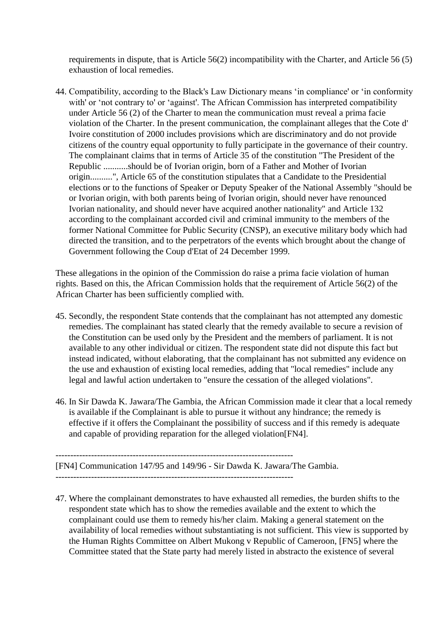requirements in dispute, that is Article 56(2) incompatibility with the Charter, and Article 56 (5) exhaustion of local remedies.

44. Compatibility, according to the Black's Law Dictionary means 'in compliance' or 'in conformity with' or 'not contrary to' or 'against'. The African Commission has interpreted compatibility under Article 56 (2) of the Charter to mean the communication must reveal a prima facie violation of the Charter. In the present communication, the complainant alleges that the Cote d' Ivoire constitution of 2000 includes provisions which are discriminatory and do not provide citizens of the country equal opportunity to fully participate in the governance of their country. The complainant claims that in terms of Article 35 of the constitution "The President of the Republic ...........should be of Ivorian origin, born of a Father and Mother of Ivorian origin..........", Article 65 of the constitution stipulates that a Candidate to the Presidential elections or to the functions of Speaker or Deputy Speaker of the National Assembly "should be or Ivorian origin, with both parents being of Ivorian origin, should never have renounced Ivorian nationality, and should never have acquired another nationality" and Article 132 according to the complainant accorded civil and criminal immunity to the members of the former National Committee for Public Security (CNSP), an executive military body which had directed the transition, and to the perpetrators of the events which brought about the change of Government following the Coup d'Etat of 24 December 1999.

These allegations in the opinion of the Commission do raise a prima facie violation of human rights. Based on this, the African Commission holds that the requirement of Article 56(2) of the African Charter has been sufficiently complied with.

- 45. Secondly, the respondent State contends that the complainant has not attempted any domestic remedies. The complainant has stated clearly that the remedy available to secure a revision of the Constitution can be used only by the President and the members of parliament. It is not available to any other individual or citizen. The respondent state did not dispute this fact but instead indicated, without elaborating, that the complainant has not submitted any evidence on the use and exhaustion of existing local remedies, adding that "local remedies" include any legal and lawful action undertaken to "ensure the cessation of the alleged violations".
- 46. In Sir Dawda K. Jawara/The Gambia, the African Commission made it clear that a local remedy is available if the Complainant is able to pursue it without any hindrance; the remedy is effective if it offers the Complainant the possibility of success and if this remedy is adequate and capable of providing reparation for the alleged violation[FN4].

--------------------------------------------------------------------------------

[FN4] Communication 147/95 and 149/96 - Sir Dawda K. Jawara/The Gambia. --------------------------------------------------------------------------------

47. Where the complainant demonstrates to have exhausted all remedies, the burden shifts to the respondent state which has to show the remedies available and the extent to which the complainant could use them to remedy his/her claim. Making a general statement on the availability of local remedies without substantiating is not sufficient. This view is supported by the Human Rights Committee on Albert Mukong v Republic of Cameroon, [FN5] where the Committee stated that the State party had merely listed in abstracto the existence of several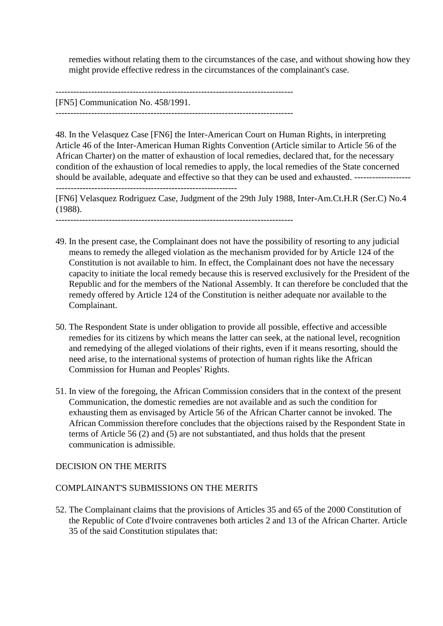remedies without relating them to the circumstances of the case, and without showing how they might provide effective redress in the circumstances of the complainant's case.

-------------------------------------------------------------------------------- [FN5] Communication No. 458/1991. --------------------------------------------------------------------------------

-------------------------------------------------------------

48. In the Velasquez Case [FN6] the Inter-American Court on Human Rights, in interpreting Article 46 of the Inter-American Human Rights Convention (Article similar to Article 56 of the African Charter) on the matter of exhaustion of local remedies, declared that, for the necessary condition of the exhaustion of local remedies to apply, the local remedies of the State concerned should be available, adequate and effective so that they can be used and exhausted. --------------------------

[FN6] Velasquez Rodriguez Case, Judgment of the 29th July 1988, Inter-Am.Ct.H.R (Ser.C) No.4 (1988).

- 49. In the present case, the Complainant does not have the possibility of resorting to any judicial means to remedy the alleged violation as the mechanism provided for by Article 124 of the Constitution is not available to him. In effect, the Complainant does not have the necessary capacity to initiate the local remedy because this is reserved exclusively for the President of the Republic and for the members of the National Assembly. It can therefore be concluded that the remedy offered by Article 124 of the Constitution is neither adequate nor available to the Complainant.
- 50. The Respondent State is under obligation to provide all possible, effective and accessible remedies for its citizens by which means the latter can seek, at the national level, recognition and remedying of the alleged violations of their rights, even if it means resorting, should the need arise, to the international systems of protection of human rights like the African Commission for Human and Peoples' Rights.
- 51. In view of the foregoing, the African Commission considers that in the context of the present Communication, the domestic remedies are not available and as such the condition for exhausting them as envisaged by Article 56 of the African Charter cannot be invoked. The African Commission therefore concludes that the objections raised by the Respondent State in terms of Article 56 (2) and (5) are not substantiated, and thus holds that the present communication is admissible.

# DECISION ON THE MERITS

# COMPLAINANT'S SUBMISSIONS ON THE MERITS

52. The Complainant claims that the provisions of Articles 35 and 65 of the 2000 Constitution of the Republic of Cote d'Ivoire contravenes both articles 2 and 13 of the African Charter. Article 35 of the said Constitution stipulates that: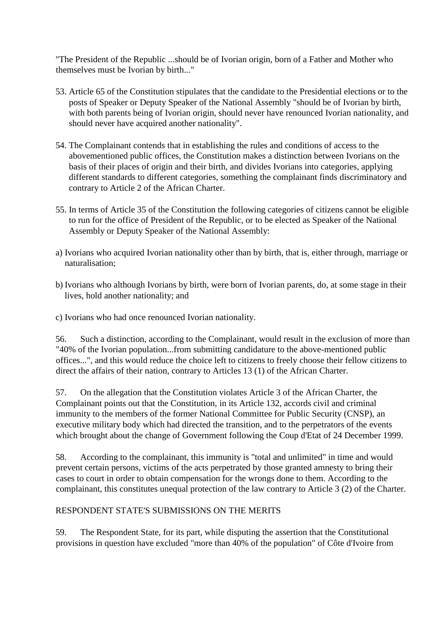"The President of the Republic ...should be of Ivorian origin, born of a Father and Mother who themselves must be Ivorian by birth..."

- 53. Article 65 of the Constitution stipulates that the candidate to the Presidential elections or to the posts of Speaker or Deputy Speaker of the National Assembly "should be of Ivorian by birth, with both parents being of Ivorian origin, should never have renounced Ivorian nationality, and should never have acquired another nationality".
- 54. The Complainant contends that in establishing the rules and conditions of access to the abovementioned public offices, the Constitution makes a distinction between Ivorians on the basis of their places of origin and their birth, and divides Ivorians into categories, applying different standards to different categories, something the complainant finds discriminatory and contrary to Article 2 of the African Charter.
- 55. In terms of Article 35 of the Constitution the following categories of citizens cannot be eligible to run for the office of President of the Republic, or to be elected as Speaker of the National Assembly or Deputy Speaker of the National Assembly:
- a) Ivorians who acquired Ivorian nationality other than by birth, that is, either through, marriage or naturalisation;
- b) Ivorians who although Ivorians by birth, were born of Ivorian parents, do, at some stage in their lives, hold another nationality; and
- c) Ivorians who had once renounced Ivorian nationality.

56. Such a distinction, according to the Complainant, would result in the exclusion of more than "40% of the Ivorian population...from submitting candidature to the above-mentioned public offices...", and this would reduce the choice left to citizens to freely choose their fellow citizens to direct the affairs of their nation, contrary to Articles 13 (1) of the African Charter.

57. On the allegation that the Constitution violates Article 3 of the African Charter, the Complainant points out that the Constitution, in its Article 132, accords civil and criminal immunity to the members of the former National Committee for Public Security (CNSP), an executive military body which had directed the transition, and to the perpetrators of the events which brought about the change of Government following the Coup d'Etat of 24 December 1999.

58. According to the complainant, this immunity is "total and unlimited" in time and would prevent certain persons, victims of the acts perpetrated by those granted amnesty to bring their cases to court in order to obtain compensation for the wrongs done to them. According to the complainant, this constitutes unequal protection of the law contrary to Article 3 (2) of the Charter.

# RESPONDENT STATE'S SUBMISSIONS ON THE MERITS

59. The Respondent State, for its part, while disputing the assertion that the Constitutional provisions in question have excluded "more than 40% of the population" of Côte d'Ivoire from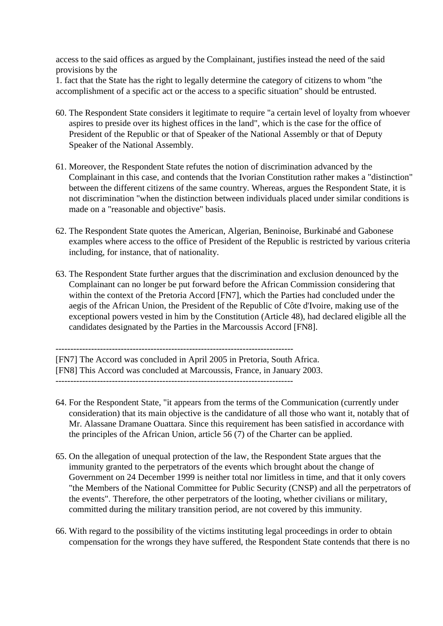access to the said offices as argued by the Complainant, justifies instead the need of the said provisions by the

1. fact that the State has the right to legally determine the category of citizens to whom "the accomplishment of a specific act or the access to a specific situation" should be entrusted.

- 60. The Respondent State considers it legitimate to require "a certain level of loyalty from whoever aspires to preside over its highest offices in the land", which is the case for the office of President of the Republic or that of Speaker of the National Assembly or that of Deputy Speaker of the National Assembly.
- 61. Moreover, the Respondent State refutes the notion of discrimination advanced by the Complainant in this case, and contends that the Ivorian Constitution rather makes a "distinction" between the different citizens of the same country. Whereas, argues the Respondent State, it is not discrimination "when the distinction between individuals placed under similar conditions is made on a "reasonable and objective" basis.
- 62. The Respondent State quotes the American, Algerian, Beninoise, Burkinabé and Gabonese examples where access to the office of President of the Republic is restricted by various criteria including, for instance, that of nationality.
- 63. The Respondent State further argues that the discrimination and exclusion denounced by the Complainant can no longer be put forward before the African Commission considering that within the context of the Pretoria Accord [FN7], which the Parties had concluded under the aegis of the African Union, the President of the Republic of Côte d'Ivoire, making use of the exceptional powers vested in him by the Constitution (Article 48), had declared eligible all the candidates designated by the Parties in the Marcoussis Accord [FN8].

--------------------------------------------------------------------------------

[FN7] The Accord was concluded in April 2005 in Pretoria, South Africa. [FN8] This Accord was concluded at Marcoussis, France, in January 2003. --------------------------------------------------------------------------------

- 64. For the Respondent State, "it appears from the terms of the Communication (currently under consideration) that its main objective is the candidature of all those who want it, notably that of Mr. Alassane Dramane Ouattara. Since this requirement has been satisfied in accordance with the principles of the African Union, article 56 (7) of the Charter can be applied.
- 65. On the allegation of unequal protection of the law, the Respondent State argues that the immunity granted to the perpetrators of the events which brought about the change of Government on 24 December 1999 is neither total nor limitless in time, and that it only covers "the Members of the National Committee for Public Security (CNSP) and all the perpetrators of the events". Therefore, the other perpetrators of the looting, whether civilians or military, committed during the military transition period, are not covered by this immunity.
- 66. With regard to the possibility of the victims instituting legal proceedings in order to obtain compensation for the wrongs they have suffered, the Respondent State contends that there is no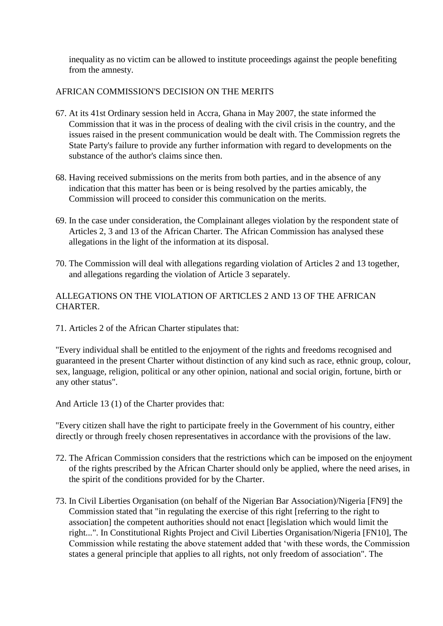inequality as no victim can be allowed to institute proceedings against the people benefiting from the amnesty.

#### AFRICAN COMMISSION'S DECISION ON THE MERITS

- 67. At its 41st Ordinary session held in Accra, Ghana in May 2007, the state informed the Commission that it was in the process of dealing with the civil crisis in the country, and the issues raised in the present communication would be dealt with. The Commission regrets the State Party's failure to provide any further information with regard to developments on the substance of the author's claims since then.
- 68. Having received submissions on the merits from both parties, and in the absence of any indication that this matter has been or is being resolved by the parties amicably, the Commission will proceed to consider this communication on the merits.
- 69. In the case under consideration, the Complainant alleges violation by the respondent state of Articles 2, 3 and 13 of the African Charter. The African Commission has analysed these allegations in the light of the information at its disposal.
- 70. The Commission will deal with allegations regarding violation of Articles 2 and 13 together, and allegations regarding the violation of Article 3 separately.

# ALLEGATIONS ON THE VIOLATION OF ARTICLES 2 AND 13 OF THE AFRICAN **CHARTER**

71. Articles 2 of the African Charter stipulates that:

"Every individual shall be entitled to the enjoyment of the rights and freedoms recognised and guaranteed in the present Charter without distinction of any kind such as race, ethnic group, colour, sex, language, religion, political or any other opinion, national and social origin, fortune, birth or any other status".

And Article 13 (1) of the Charter provides that:

"Every citizen shall have the right to participate freely in the Government of his country, either directly or through freely chosen representatives in accordance with the provisions of the law.

- 72. The African Commission considers that the restrictions which can be imposed on the enjoyment of the rights prescribed by the African Charter should only be applied, where the need arises, in the spirit of the conditions provided for by the Charter.
- 73. In Civil Liberties Organisation (on behalf of the Nigerian Bar Association)/Nigeria [FN9] the Commission stated that "in regulating the exercise of this right [referring to the right to association] the competent authorities should not enact [legislation which would limit the right...". In Constitutional Rights Project and Civil Liberties Organisation/Nigeria [FN10], The Commission while restating the above statement added that 'with these words, the Commission states a general principle that applies to all rights, not only freedom of association". The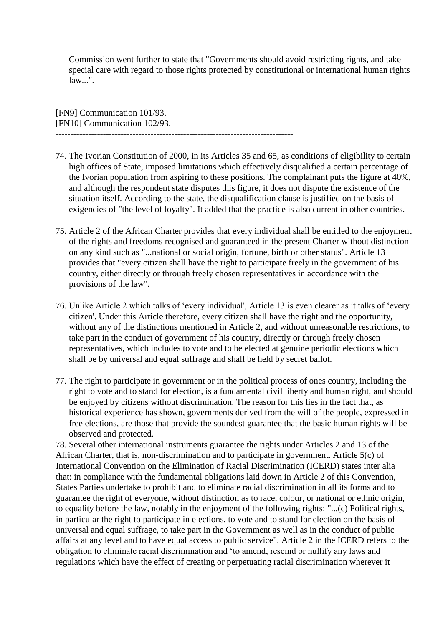Commission went further to state that "Governments should avoid restricting rights, and take special care with regard to those rights protected by constitutional or international human rights law...".

-------------------------------------------------------------------------------- [FN9] Communication 101/93. [FN10] Communication 102/93. --------------------------------------------------------------------------------

- 74. The Ivorian Constitution of 2000, in its Articles 35 and 65, as conditions of eligibility to certain high offices of State, imposed limitations which effectively disqualified a certain percentage of the Ivorian population from aspiring to these positions. The complainant puts the figure at 40%, and although the respondent state disputes this figure, it does not dispute the existence of the situation itself. According to the state, the disqualification clause is justified on the basis of exigencies of "the level of loyalty". It added that the practice is also current in other countries.
- 75. Article 2 of the African Charter provides that every individual shall be entitled to the enjoyment of the rights and freedoms recognised and guaranteed in the present Charter without distinction on any kind such as "...national or social origin, fortune, birth or other status". Article 13 provides that "every citizen shall have the right to participate freely in the government of his country, either directly or through freely chosen representatives in accordance with the provisions of the law".
- 76. Unlike Article 2 which talks of 'every individual', Article 13 is even clearer as it talks of 'every citizen'. Under this Article therefore, every citizen shall have the right and the opportunity, without any of the distinctions mentioned in Article 2, and without unreasonable restrictions, to take part in the conduct of government of his country, directly or through freely chosen representatives, which includes to vote and to be elected at genuine periodic elections which shall be by universal and equal suffrage and shall be held by secret ballot.
- 77. The right to participate in government or in the political process of ones country, including the right to vote and to stand for election, is a fundamental civil liberty and human right, and should be enjoyed by citizens without discrimination. The reason for this lies in the fact that, as historical experience has shown, governments derived from the will of the people, expressed in free elections, are those that provide the soundest guarantee that the basic human rights will be observed and protected.

78. Several other international instruments guarantee the rights under Articles 2 and 13 of the African Charter, that is, non-discrimination and to participate in government. Article 5(c) of International Convention on the Elimination of Racial Discrimination (ICERD) states inter alia that: in compliance with the fundamental obligations laid down in Article 2 of this Convention, States Parties undertake to prohibit and to eliminate racial discrimination in all its forms and to guarantee the right of everyone, without distinction as to race, colour, or national or ethnic origin, to equality before the law, notably in the enjoyment of the following rights: "...(c) Political rights, in particular the right to participate in elections, to vote and to stand for election on the basis of universal and equal suffrage, to take part in the Government as well as in the conduct of public affairs at any level and to have equal access to public service". Article 2 in the ICERD refers to the obligation to eliminate racial discrimination and 'to amend, rescind or nullify any laws and regulations which have the effect of creating or perpetuating racial discrimination wherever it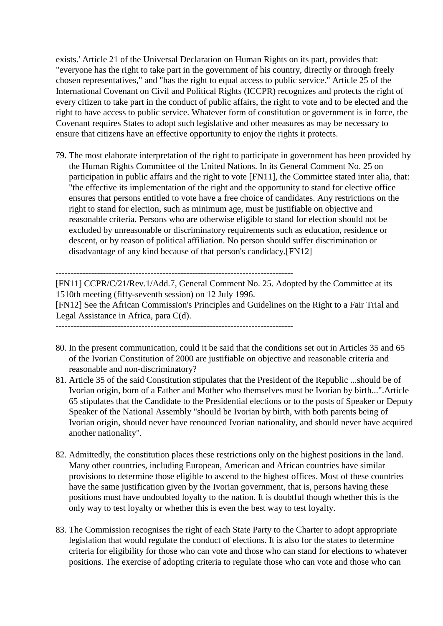exists.' Article 21 of the Universal Declaration on Human Rights on its part, provides that: "everyone has the right to take part in the government of his country, directly or through freely chosen representatives," and "has the right to equal access to public service." Article 25 of the International Covenant on Civil and Political Rights (ICCPR) recognizes and protects the right of every citizen to take part in the conduct of public affairs, the right to vote and to be elected and the right to have access to public service. Whatever form of constitution or government is in force, the Covenant requires States to adopt such legislative and other measures as may be necessary to ensure that citizens have an effective opportunity to enjoy the rights it protects.

79. The most elaborate interpretation of the right to participate in government has been provided by the Human Rights Committee of the United Nations. In its General Comment No. 25 on participation in public affairs and the right to vote [FN11], the Committee stated inter alia, that: "the effective its implementation of the right and the opportunity to stand for elective office ensures that persons entitled to vote have a free choice of candidates. Any restrictions on the right to stand for election, such as minimum age, must be justifiable on objective and reasonable criteria. Persons who are otherwise eligible to stand for election should not be excluded by unreasonable or discriminatory requirements such as education, residence or descent, or by reason of political affiliation. No person should suffer discrimination or disadvantage of any kind because of that person's candidacy.[FN12]

#### --------------------------------------------------------------------------------

[FN11] CCPR/C/21/Rev.1/Add.7, General Comment No. 25. Adopted by the Committee at its 1510th meeting (fifty-seventh session) on 12 July 1996.

[FN12] See the African Commission's Principles and Guidelines on the Right to a Fair Trial and Legal Assistance in Africa, para C(d).

--------------------------------------------------------------------------------

- 80. In the present communication, could it be said that the conditions set out in Articles 35 and 65 of the Ivorian Constitution of 2000 are justifiable on objective and reasonable criteria and reasonable and non-discriminatory?
- 81. Article 35 of the said Constitution stipulates that the President of the Republic ...should be of Ivorian origin, born of a Father and Mother who themselves must be Ivorian by birth...".Article 65 stipulates that the Candidate to the Presidential elections or to the posts of Speaker or Deputy Speaker of the National Assembly "should be Ivorian by birth, with both parents being of Ivorian origin, should never have renounced Ivorian nationality, and should never have acquired another nationality".
- 82. Admittedly, the constitution places these restrictions only on the highest positions in the land. Many other countries, including European, American and African countries have similar provisions to determine those eligible to ascend to the highest offices. Most of these countries have the same justification given by the Ivorian government, that is, persons having these positions must have undoubted loyalty to the nation. It is doubtful though whether this is the only way to test loyalty or whether this is even the best way to test loyalty.
- 83. The Commission recognises the right of each State Party to the Charter to adopt appropriate legislation that would regulate the conduct of elections. It is also for the states to determine criteria for eligibility for those who can vote and those who can stand for elections to whatever positions. The exercise of adopting criteria to regulate those who can vote and those who can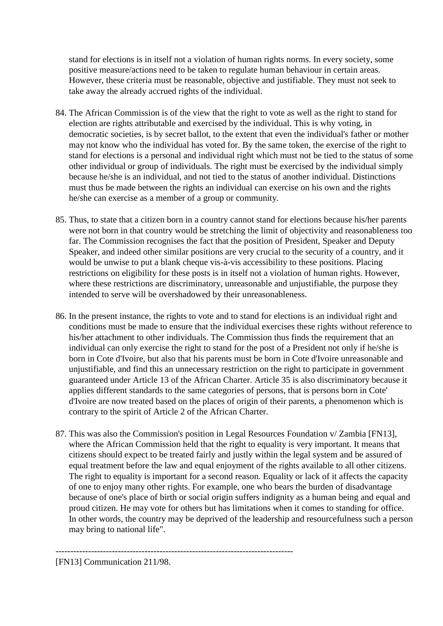stand for elections is in itself not a violation of human rights norms. In every society, some positive measure/actions need to be taken to regulate human behaviour in certain areas. However, these criteria must be reasonable, objective and justifiable. They must not seek to take away the already accrued rights of the individual.

- 84. The African Commission is of the view that the right to vote as well as the right to stand for election are rights attributable and exercised by the individual. This is why voting, in democratic societies, is by secret ballot, to the extent that even the individual's father or mother may not know who the individual has voted for. By the same token, the exercise of the right to stand for elections is a personal and individual right which must not be tied to the status of some other individual or group of individuals. The right must be exercised by the individual simply because he/she is an individual, and not tied to the status of another individual. Distinctions must thus be made between the rights an individual can exercise on his own and the rights he/she can exercise as a member of a group or community.
- 85. Thus, to state that a citizen born in a country cannot stand for elections because his/her parents were not born in that country would be stretching the limit of objectivity and reasonableness too far. The Commission recognises the fact that the position of President, Speaker and Deputy Speaker, and indeed other similar positions are very crucial to the security of a country, and it would be unwise to put a blank cheque vis-à-vis accessibility to these positions. Placing restrictions on eligibility for these posts is in itself not a violation of human rights. However, where these restrictions are discriminatory, unreasonable and unjustifiable, the purpose they intended to serve will be overshadowed by their unreasonableness.
- 86. In the present instance, the rights to vote and to stand for elections is an individual right and conditions must be made to ensure that the individual exercises these rights without reference to his/her attachment to other individuals. The Commission thus finds the requirement that an individual can only exercise the right to stand for the post of a President not only if he/she is born in Cote d'Ivoire, but also that his parents must be born in Cote d'Ivoire unreasonable and unjustifiable, and find this an unnecessary restriction on the right to participate in government guaranteed under Article 13 of the African Charter. Article 35 is also discriminatory because it applies different standards to the same categories of persons, that is persons born in Cote' d'Ivoire are now treated based on the places of origin of their parents, a phenomenon which is contrary to the spirit of Article 2 of the African Charter.
- 87. This was also the Commission's position in Legal Resources Foundation v/ Zambia [FN13], where the African Commission held that the right to equality is very important. It means that citizens should expect to be treated fairly and justly within the legal system and be assured of equal treatment before the law and equal enjoyment of the rights available to all other citizens. The right to equality is important for a second reason. Equality or lack of it affects the capacity of one to enjoy many other rights. For example, one who bears the burden of disadvantage because of one's place of birth or social origin suffers indignity as a human being and equal and proud citizen. He may vote for others but has limitations when it comes to standing for office. In other words, the country may be deprived of the leadership and resourcefulness such a person may bring to national life".

--------------------------------------------------------------------------------

[FN13] Communication 211/98.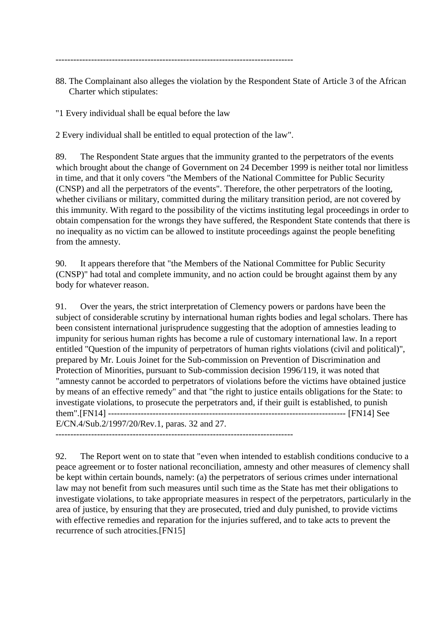--------------------------------------------------------------------------------

88. The Complainant also alleges the violation by the Respondent State of Article 3 of the African Charter which stipulates:

"1 Every individual shall be equal before the law

2 Every individual shall be entitled to equal protection of the law".

89. The Respondent State argues that the immunity granted to the perpetrators of the events which brought about the change of Government on 24 December 1999 is neither total nor limitless in time, and that it only covers "the Members of the National Committee for Public Security (CNSP) and all the perpetrators of the events". Therefore, the other perpetrators of the looting, whether civilians or military, committed during the military transition period, are not covered by this immunity. With regard to the possibility of the victims instituting legal proceedings in order to obtain compensation for the wrongs they have suffered, the Respondent State contends that there is no inequality as no victim can be allowed to institute proceedings against the people benefiting from the amnesty.

90. It appears therefore that "the Members of the National Committee for Public Security (CNSP)" had total and complete immunity, and no action could be brought against them by any body for whatever reason.

91. Over the years, the strict interpretation of Clemency powers or pardons have been the subject of considerable scrutiny by international human rights bodies and legal scholars. There has been consistent international jurisprudence suggesting that the adoption of amnesties leading to impunity for serious human rights has become a rule of customary international law. In a report entitled "Question of the impunity of perpetrators of human rights violations (civil and political)", prepared by Mr. Louis Joinet for the Sub-commission on Prevention of Discrimination and Protection of Minorities, pursuant to Sub-commission decision 1996/119, it was noted that "amnesty cannot be accorded to perpetrators of violations before the victims have obtained justice by means of an effective remedy" and that "the right to justice entails obligations for the State: to investigate violations, to prosecute the perpetrators and, if their guilt is established, to punish them".[FN14] -------------------------------------------------------------------------------- [FN14] See E/CN.4/Sub.2/1997/20/Rev.1, paras. 32 and 27. --------------------------------------------------------------------------------

92. The Report went on to state that "even when intended to establish conditions conducive to a peace agreement or to foster national reconciliation, amnesty and other measures of clemency shall be kept within certain bounds, namely: (a) the perpetrators of serious crimes under international law may not benefit from such measures until such time as the State has met their obligations to investigate violations, to take appropriate measures in respect of the perpetrators, particularly in the area of justice, by ensuring that they are prosecuted, tried and duly punished, to provide victims with effective remedies and reparation for the injuries suffered, and to take acts to prevent the recurrence of such atrocities.[FN15]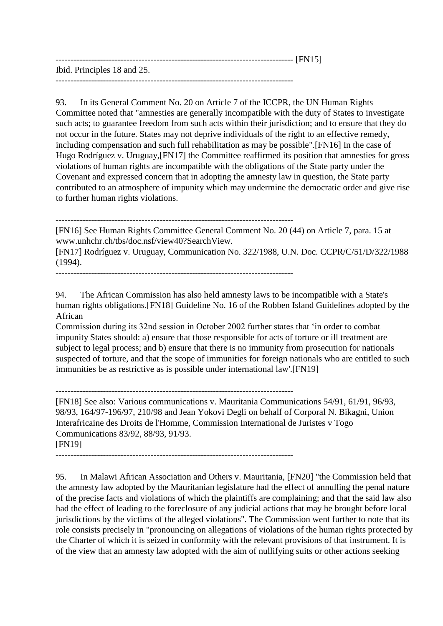| Ibid. Principles 18 and 25. |  |
|-----------------------------|--|
|                             |  |

93. In its General Comment No. 20 on Article 7 of the ICCPR, the UN Human Rights Committee noted that "amnesties are generally incompatible with the duty of States to investigate such acts; to guarantee freedom from such acts within their jurisdiction; and to ensure that they do not occur in the future. States may not deprive individuals of the right to an effective remedy, including compensation and such full rehabilitation as may be possible".[FN16] In the case of Hugo Rodríguez v. Uruguay,[FN17] the Committee reaffirmed its position that amnesties for gross violations of human rights are incompatible with the obligations of the State party under the Covenant and expressed concern that in adopting the amnesty law in question, the State party contributed to an atmosphere of impunity which may undermine the democratic order and give rise to further human rights violations.

--------------------------------------------------------------------------------

[FN16] See Human Rights Committee General Comment No. 20 (44) on Article 7, para. 15 at www.unhchr.ch/tbs/doc.nsf/view40?SearchView.

[FN17] Rodríguez v. Uruguay, Communication No. 322/1988, U.N. Doc. CCPR/C/51/D/322/1988 (1994).

--------------------------------------------------------------------------------

94. The African Commission has also held amnesty laws to be incompatible with a State's human rights obligations.[FN18] Guideline No. 16 of the Robben Island Guidelines adopted by the African

Commission during its 32nd session in October 2002 further states that 'in order to combat impunity States should: a) ensure that those responsible for acts of torture or ill treatment are subject to legal process; and b) ensure that there is no immunity from prosecution for nationals suspected of torture, and that the scope of immunities for foreign nationals who are entitled to such immunities be as restrictive as is possible under international law'.[FN19]

--------------------------------------------------------------------------------

[FN18] See also: Various communications v. Mauritania Communications 54/91, 61/91, 96/93, 98/93, 164/97-196/97, 210/98 and Jean Yokovi Degli on behalf of Corporal N. Bikagni, Union Interafricaine des Droits de l'Homme, Commission International de Juristes v Togo Communications 83/92, 88/93, 91/93. [FN19]

--------------------------------------------------------------------------------

95. In Malawi African Association and Others v. Mauritania, [FN20] "the Commission held that the amnesty law adopted by the Mauritanian legislature had the effect of annulling the penal nature of the precise facts and violations of which the plaintiffs are complaining; and that the said law also had the effect of leading to the foreclosure of any judicial actions that may be brought before local jurisdictions by the victims of the alleged violations". The Commission went further to note that its role consists precisely in "pronouncing on allegations of violations of the human rights protected by the Charter of which it is seized in conformity with the relevant provisions of that instrument. It is of the view that an amnesty law adopted with the aim of nullifying suits or other actions seeking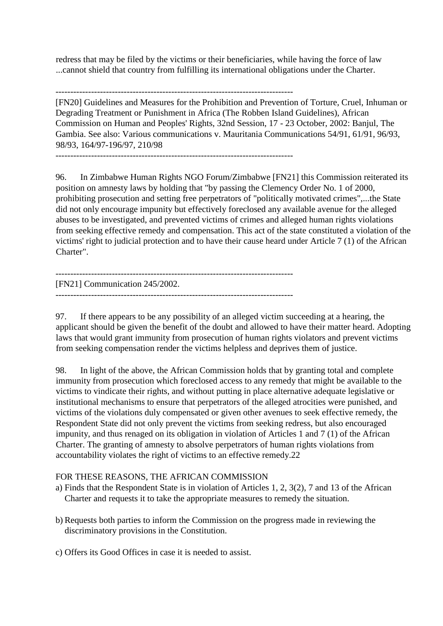redress that may be filed by the victims or their beneficiaries, while having the force of law ...cannot shield that country from fulfilling its international obligations under the Charter.

--------------------------------------------------------------------------------

[FN20] Guidelines and Measures for the Prohibition and Prevention of Torture, Cruel, Inhuman or Degrading Treatment or Punishment in Africa (The Robben Island Guidelines), African Commission on Human and Peoples' Rights, 32nd Session, 17 - 23 October, 2002: Banjul, The Gambia. See also: Various communications v. Mauritania Communications 54/91, 61/91, 96/93, 98/93, 164/97-196/97, 210/98

--------------------------------------------------------------------------------

96. In Zimbabwe Human Rights NGO Forum/Zimbabwe [FN21] this Commission reiterated its position on amnesty laws by holding that "by passing the Clemency Order No. 1 of 2000, prohibiting prosecution and setting free perpetrators of "politically motivated crimes",...the State did not only encourage impunity but effectively foreclosed any available avenue for the alleged abuses to be investigated, and prevented victims of crimes and alleged human rights violations from seeking effective remedy and compensation. This act of the state constituted a violation of the victims' right to judicial protection and to have their cause heard under Article 7 (1) of the African Charter".

-------------------------------------------------------------------------------- [FN21] Communication 245/2002. --------------------------------------------------------------------------------

97. If there appears to be any possibility of an alleged victim succeeding at a hearing, the applicant should be given the benefit of the doubt and allowed to have their matter heard. Adopting laws that would grant immunity from prosecution of human rights violators and prevent victims from seeking compensation render the victims helpless and deprives them of justice.

98. In light of the above, the African Commission holds that by granting total and complete immunity from prosecution which foreclosed access to any remedy that might be available to the victims to vindicate their rights, and without putting in place alternative adequate legislative or institutional mechanisms to ensure that perpetrators of the alleged atrocities were punished, and victims of the violations duly compensated or given other avenues to seek effective remedy, the Respondent State did not only prevent the victims from seeking redress, but also encouraged impunity, and thus renaged on its obligation in violation of Articles 1 and 7 (1) of the African Charter. The granting of amnesty to absolve perpetrators of human rights violations from accountability violates the right of victims to an effective remedy.22

# FOR THESE REASONS, THE AFRICAN COMMISSION

- a) Finds that the Respondent State is in violation of Articles 1, 2, 3(2), 7 and 13 of the African Charter and requests it to take the appropriate measures to remedy the situation.
- b) Requests both parties to inform the Commission on the progress made in reviewing the discriminatory provisions in the Constitution.
- c) Offers its Good Offices in case it is needed to assist.